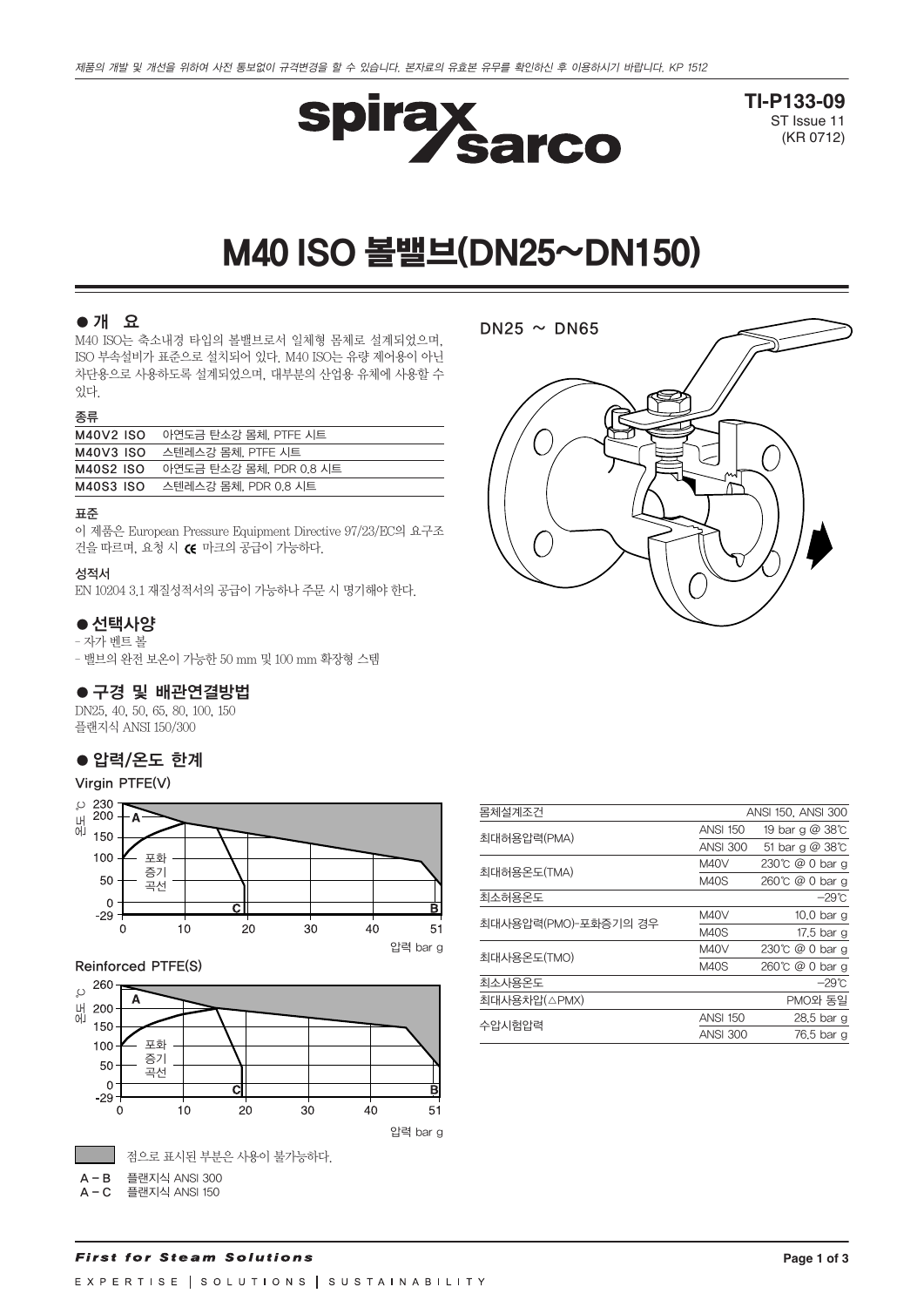

**TI-P133-09** ST Issue 11 (KR 0712)

# M40 ISO볼밸브(DN25~DN150)

## ●개 요

M40 ISO는 축소내경 타입의 볼밸브로서 일체형 몸체로 설계되었으며, ISO 부속설비가 표준으로 설치되어 있다. M40 ISO는 유량 제어용이 아닌 차단용으로 사용하도록 설계되었으며, 대부분의 산업용 유체에 사용할 수 있다.

#### 종류

| M40V2 ISO        | 아연도금 탄소강 몸체. PTFE 시트    |
|------------------|-------------------------|
| <b>M40V3 ISO</b> | 스텐레스강 몸체. PTFE 시트       |
| M40S2 ISO        | 아연도금 탄소강 몸체, PDR 0.8 시트 |
| M40S3 ISO        | 스텐레스강 몸체, PDR 0.8 시트    |
|                  |                         |

#### 표준

이 제품은 European Pressure Equipment Directive 97/23/EC의 요구조 건을 따르며, 요청 시 C 마크의 공급이 가능하다.

#### 성적서

EN 10204 3.1 재질성적서의 공급이 가능하나 주문 시 명기해야 한다.

## ● 선택사양

– 자가 벤트 볼

– 밸브의 완전 보온이 가능한 50 mm 및 100 mm 확장형 스템

## ●구경 및 배관연결방법

DN25, 40, 50, 65, 80, 100, 150 플랜지식 ANSI 150/300

## ● 압력/온도 한계

#### Virgin PTFE(V)



## Reinforced PTFE(S)





| 몸체설계조건               |                 | ANSI 150, ANSI 300    |
|----------------------|-----------------|-----------------------|
| 최대허용압력(PMA)          | <b>ANSI 150</b> | 19 bar g @ 38°C       |
|                      | <b>ANSI 300</b> | 51 bar g @ 38°C       |
| 최대허용온도(TMA)          | <b>M40V</b>     | 230°C @ 0 bar g       |
|                      | <b>M40S</b>     | 260℃ @ 0 bar g        |
| 최소허용온도               |                 | $-29^{\circ}$ C       |
| 최대사용압력(PMO)-포화증기의 경우 | <b>M40V</b>     | 10.0 <sub>bar</sub> g |
|                      | <b>M40S</b>     | 17.5 bar g            |
| 최대사용온도(TMO)          | <b>M40V</b>     | 230℃ @ 0 bar g        |
|                      | <b>M40S</b>     | 260℃ @ 0 bar g        |
| 최소사용온도               |                 | $-29^{\circ}$ C       |
| 최대사용차압(△PMX)         |                 | PMO와 동일               |
| 수압시험압력               | <b>ANSI 150</b> | 28.5 bar g            |
|                      | <b>ANSI 300</b> | 76.5 bar g            |
|                      |                 |                       |

#### **Page 1 of 3**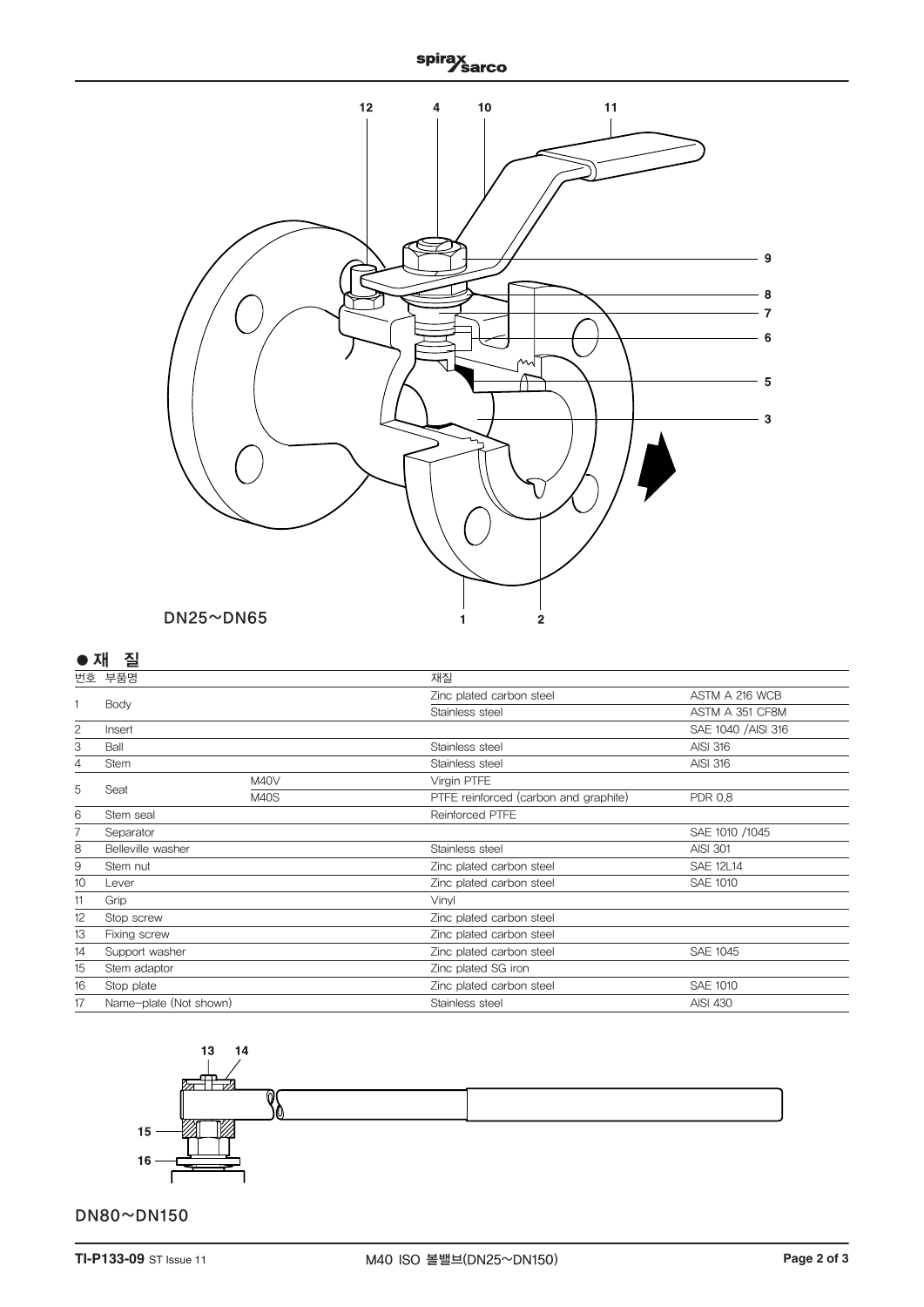

# **●**재질

| 번호             | 부품명                    |             | 재질                                          |                     |  |  |  |
|----------------|------------------------|-------------|---------------------------------------------|---------------------|--|--|--|
| 1<br>Body      |                        |             | Zinc plated carbon steel                    | ASTM A 216 WCB      |  |  |  |
|                |                        |             | Stainless steel                             | ASTM A 351 CF8M     |  |  |  |
| $\overline{c}$ | Insert                 |             |                                             | SAE 1040 / AISI 316 |  |  |  |
| 3              | Ball                   |             | Stainless steel                             | <b>AISI 316</b>     |  |  |  |
| 4              | <b>Stem</b>            |             | Stainless steel                             | <b>AISI 316</b>     |  |  |  |
|                |                        | M40V        | Virgin PTFE                                 |                     |  |  |  |
| 5              | Seat                   | <b>M40S</b> | PTFE reinforced (carbon and graphite)       | <b>PDR 0.8</b>      |  |  |  |
| 6              | Stem seal              |             | Reinforced PTFE                             |                     |  |  |  |
|                | Separator              |             |                                             | SAE 1010 /1045      |  |  |  |
| 8              | Belleville washer      |             | Stainless steel                             | <b>AISI 301</b>     |  |  |  |
| 9              | Stem nut               |             | Zinc plated carbon steel                    | <b>SAE 12L14</b>    |  |  |  |
| 10             | Lever                  |             | Zinc plated carbon steel                    | <b>SAE 1010</b>     |  |  |  |
| 11             | Grip                   |             | Vinyl                                       |                     |  |  |  |
| 12             | Stop screw             |             | Zinc plated carbon steel                    |                     |  |  |  |
| 13             | Fixing screw           |             | Zinc plated carbon steel                    |                     |  |  |  |
| 14             | Support washer         |             | <b>SAE 1045</b><br>Zinc plated carbon steel |                     |  |  |  |
| 15             | Stem adaptor           |             | Zinc plated SG iron                         |                     |  |  |  |
| 16             | Stop plate             |             | Zinc plated carbon steel                    | <b>SAE 1010</b>     |  |  |  |
| 17             | Name-plate (Not shown) |             | Stainless steel<br>AISI 430                 |                     |  |  |  |
|                |                        |             |                                             |                     |  |  |  |



# DN80~DN150